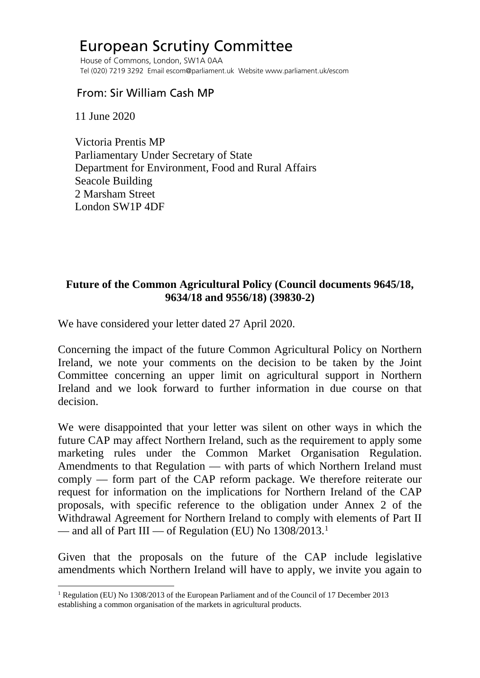## European Scrutiny Committee

 House of Commons, London, SW1A 0AA Tel (020) 7219 3292 Email escom@parliament.uk Website www.parliament.uk/escom

## From: Sir William Cash MP

11 June 2020

 Victoria Prentis MP Parliamentary Under Secretary of State Department for Environment, Food and Rural Affairs Seacole Building 2 Marsham Street London SW1P 4DF

## **Future of the Common Agricultural Policy (Council documents 9645/18, 9634/18 and 9556/18) (39830-2)**

We have considered your letter dated 27 April 2020.

Concerning the impact of the future Common Agricultural Policy on Northern Ireland, we note your comments on the decision to be taken by the Joint Committee concerning an upper limit on agricultural support in Northern Ireland and we look forward to further information in due course on that decision.

We were disappointed that your letter was silent on other ways in which the future CAP may affect Northern Ireland, such as the requirement to apply some marketing rules under the Common Market Organisation Regulation. Amendments to that Regulation — with parts of which Northern Ireland must comply — form part of the CAP reform package. We therefore reiterate our request for information on the implications for Northern Ireland of the CAP proposals, with specific reference to the obligation under Annex 2 of the Withdrawal Agreement for Northern Ireland to comply with elements of Part II — and all of Part III — of Regulation (EU) No  $1308/2013$  $1308/2013$ <sup>1</sup>

Given that the proposals on the future of the CAP include legislative amendments which Northern Ireland will have to apply, we invite you again to

<span id="page-0-0"></span><sup>1</sup> Regulation (EU) No 1308/2013 of the European Parliament and of the Council of 17 December 2013 establishing a common organisation of the markets in agricultural products.